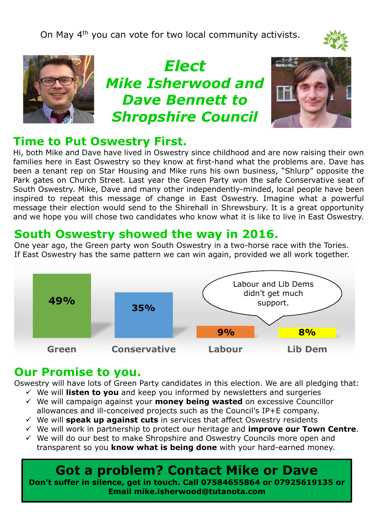On May 4<sup>th</sup> you can vote for two local community activists.





*Elect Mike Isherwood and Dave Bennett to Shropshire Council*



## **Time to Put Oswestry First.**

Hi, both Mike and Dave have lived in Oswestry since childhood and are now raising their own Th, both mike and Dave have lived in Oswestry since childhood and are now raising their own<br>families here in East Oswestry so they know at first-hand what the problems are. Dave has been a tenant rep on Star Housing and Mike runs his own business, "Shlurp" opposite the Park gates on Church Street. Last year the Green Party won the safe Conservative seat of South Oswestry. Mike, Dave and many other independently-minded, local people have been inspired to repeat this message of change in East Oswestry. Imagine what a powerful message their election would send to the Shirehall in Shrewsbury. It is a great opportunity and we hope you will chose two candidates who know what it is like to live in East Oswestry.

# **South Oswestry showed the way in 2016.**

One year ago, the Green party won South Oswestry in a two-horse race with the Tories. If East Oswestry has the same pattern we can win again, provided we all work together.



#### **Our Promise to you.**

Oswestry will have lots of Green Party candidates in this election. We are all pledging that:

- We will **listen to you** and keep you informed by newsletters and surgeries
- We will campaign against your **money being wasted** on excessive Councillor allowances and ill-conceived projects such as the Council's IP+E company.
- We will **speak up against cuts** in services that affect Oswestry residents
- We will work in partnership to protect our heritage and **improve our Town Centre**.
- $\checkmark$  We will do our best to make Shropshire and Oswestry Councils more open and transparent so you **know what is being done** with your hard-earned money.

# **Got a problem? Contact Mike or Dave**

**Don't suffer in silence, get in touch. Call 07584655864 or 07925619135 or Email mike.isherwood@tutanota.com**